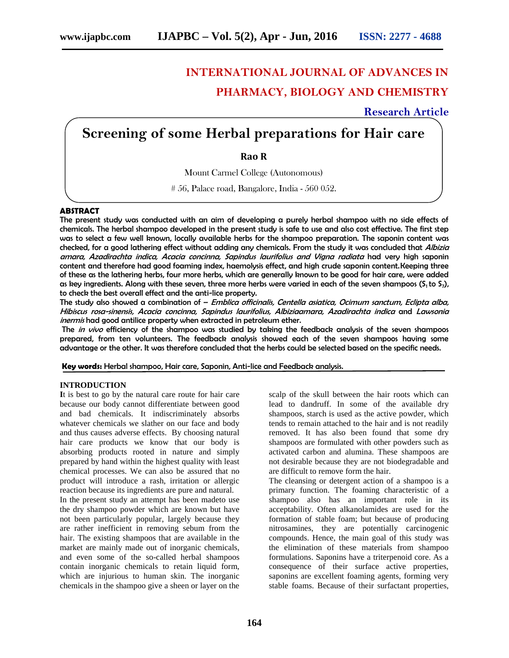# **INTERNATIONAL JOURNAL OF ADVANCES IN PHARMACY, BIOLOGY AND CHEMISTRY**

**Research Article**

# **Screening of some Herbal preparations for Hair care**

# **Rao R**

Mount Carmel College (Autonomous)

# 56, Palace road, Bangalore, India - 560 052.

### **ABSTRACT**

The present study was conducted with an aim of developing a purely herbal shampoo with no side effects of chemicals. The herbal shampoo developed in the present study is safe to use and also cost effective. The first step was to select a few well known, locally available herbs for the shampoo preparation. The saponin content was checked, for a good lathering effect without adding any chemicals. From the study it was concluded that *Albizia amara, Azadirachta indica, Acacia concinna, Sapindus laurifolius and Vigna radiata* had very high saponin content and therefore had good foaming index, haemolysis effect, and high crude saponin content.Keeping three of these as the lathering herbs, four more herbs, which are generally known to be good for hair care, were added as key ingredients. Along with these seven, three more herbs were varied in each of the seven shampoos ( $S_1$ to  $S_7$ ), to check the best overall effect and the anti-lice property.

The study also showed a combination of – *Emblica officinalis, Centella asiatica, Ocimum sanctum, Eclipta alba, Hibiscus rosa-sinensis, Acacia concinna, Sapindus laurifolius, Albiziaamara, Azadirachta indica* and *Lawsonia inermis* had good antilice property when extracted in petroleum ether.

The *in vivo* efficiency of the shampoo was studied by taking the feedback analysis of the seven shampoos prepared, from ten volunteers. The feedback analysis showed each of the seven shampoos having some advantage or the other. It was therefore concluded that the herbs could be selected based on the specific needs.

**Key words:** Herbal shampoo, Hair care, Saponin, Anti-lice and Feedback analysis.

#### **INTRODUCTION**

**I**t is best to go by the natural care route for hair care because our body cannot differentiate between good and bad chemicals. It indiscriminately absorbs whatever chemicals we slather on our face and body and thus causes adverse effects. By choosing natural hair care products we know that our body is absorbing products rooted in nature and simply prepared by hand within the highest quality with least chemical processes. We can also be assured that no product will introduce a rash, irritation or allergic reaction because its ingredients are pure and natural.

In the present study an attempt has been madeto use the dry shampoo powder which are known but have not been particularly popular, largely because they are rather inefficient in removing sebum from the hair. The existing shampoos that are available in the market are mainly made out of inorganic chemicals, and even some of the so-called herbal shampoos contain inorganic chemicals to retain liquid form, which are injurious to human skin. The inorganic chemicals in the shampoo give a sheen or layer on the

scalp of the skull between the hair roots which can lead to dandruff. In some of the available dry shampoos, starch is used as the active powder, which tends to remain attached to the hair and is not readily removed. It has also been found that some dry shampoos are formulated with other powders such as activated carbon and alumina. These shampoos are not desirable because they are not biodegradable and are difficult to remove form the hair.

The cleansing or detergent action of a shampoo is a primary function. The foaming characteristic of a shampoo also has an important role in its acceptability. Often alkanolamides are used for the formation of stable foam; but because of producing nitrosamines, they are potentially carcinogenic compounds. Hence, the main goal of this study was the elimination of these materials from shampoo formulations. Saponins have a triterpenoid core. As a consequence of their surface active properties, saponins are excellent foaming agents, forming very stable foams. Because of their surfactant properties,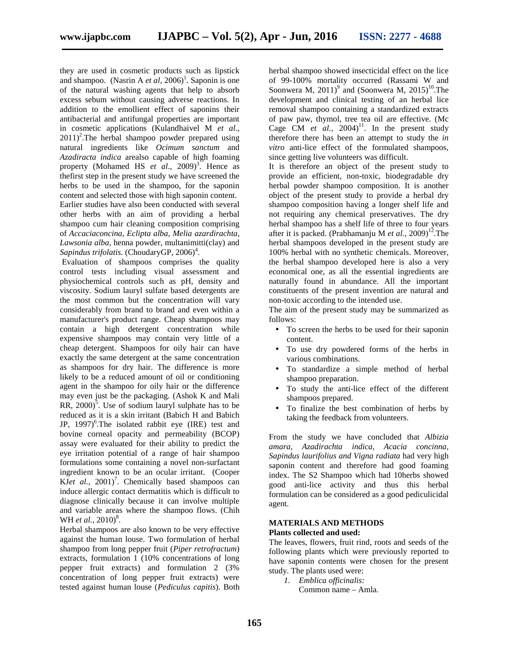they are used in cosmetic products such as lipstick and shampoo. (Nasrin A *et al*, 2006)<sup>1</sup>. Saponin is one of the natural washing agents that help to absorb excess sebum without causing adverse reactions. In addition to the emollient effect of saponins their antibacterial and antifungal properties are important in cosmetic applications (Kulandhaivel M *et al*.,  $2011$ <sup>2</sup>. The herbal shampoo powder prepared using natural ingredients like *Ocimum sanctum* and *Azadiracta indica* arealso capable of high foaming property (Mohamed HS *et al.*, 2009)<sup>3</sup>. Hence as thefirst step in the present study we have screened the herbs to be used in the shampoo, for the saponin content and selected those with high saponin content.

Earlier studies have also been conducted with several other herbs with an aim of providing a herbal shampoo cum hair cleaning composition comprising of *Accaciaconcina, Eclipta alba, Melia azardirachta, Lawsonia alba*, henna powder, multanimitti(clay) and Sapindus trifolatis. (ChoudaryGP, 2006)<sup>4</sup>.

Evaluation of shampoos comprises the quality control tests including visual assessment and physiochemical controls such as pH, density and viscosity. Sodium lauryl sulfate based detergents are the most common but the concentration will vary considerably from brand to brand and even within a manufacturer's product range. Cheap shampoos may contain a high detergent concentration while expensive shampoos may contain very little of a cheap detergent. Shampoos for oily hair can have exactly the same detergent at the same concentration as shampoos for dry hair. The difference is more likely to be a reduced amount of oil or conditioning agent in the shampoo for oily hair or the difference may even just be the packaging. (Ashok K and Mali RR,  $2000$ <sup>5</sup>. Use of sodium lauryl sulphate has to be reduced as it is a skin irritant (Babich H and Babich JP, 1997) 6 .The isolated rabbit eye (IRE) test and bovine corneal opacity and permeability (BCOP) assay were evaluated for their ability to predict the eye irritation potential of a range of hair shampoo formulations some containing a novel non-surfactant ingredient known to be an ocular irritant. (Cooper KJet al., 2001)<sup>7</sup>. Chemically based shampoos can induce allergic contact dermatitis which is difficult to diagnose clinically because it can involve multiple and variable areas where the shampoo flows. (Chih WH *et al.*, 2010)<sup>8</sup>.

Herbal shampoos are also known to be very effective against the human louse. Two formulation of herbal shampoo from long pepper fruit (*Piper retrofractum*) extracts, formulation 1 (10% concentrations of long pepper fruit extracts) and formulation 2 (3% concentration of long pepper fruit extracts) were tested against human louse (*Pediculus capitis*). Both

herbal shampoo showed insecticidal effect on the lice of 99-100% mortality occurred (Rassami W and Soonwera M, 2011)<sup>9</sup> and (Soonwera M, 2015)<sup>10</sup>. The development and clinical testing of an herbal lice removal shampoo containing a standardized extracts of paw paw, thymol, tree tea oil are effective. (Mc Cage CM *et al.*,  $2004$ <sup>11</sup>. In the present study therefore there has been an attempt to study the *in vitro* anti-lice effect of the formulated shampoos, since getting live volunteers was difficult.

It is therefore an object of the present study to provide an efficient, non-toxic, biodegradable dry herbal powder shampoo composition. It is another object of the present study to provide a herbal dry shampoo composition having a longer shelf life and not requiring any chemical preservatives. The dry herbal shampoo has a shelf life of three to four years after it is packed. (Prabhamanju M *et al.*, 2009)<sup>12</sup>. The herbal shampoos developed in the present study are 100% herbal with no synthetic chemicals. Moreover, the herbal shampoo developed here is also a very economical one, as all the essential ingredients are naturally found in abundance. All the important constituents of the present invention are natural and non-toxic according to the intended use.

The aim of the present study may be summarized as follows:

- To screen the herbs to be used for their saponin content.
- To use dry powdered forms of the herbs in various combinations.
- To standardize a simple method of herbal shampoo preparation.
- To study the anti-lice effect of the different shampoos prepared.
- To finalize the best combination of herbs by taking the feedback from volunteers.

From the study we have concluded that *Albizia amara, Azadirachta indica, Acacia concinna, Sapindus laurifolius and Vigna radiata* had very high saponin content and therefore had good foaming index. The S2 Shampoo which had 10herbs showed good anti-lice activity and thus this herbal formulation can be considered as a good pediculicidal agent.

#### **MATERIALS AND METHODS Plants collected and used:**

The leaves, flowers, fruit rind, roots and seeds of the following plants which were previously reported to have saponin contents were chosen for the present study. The plants used were:

*1. Emblica officinalis:* Common name – Amla.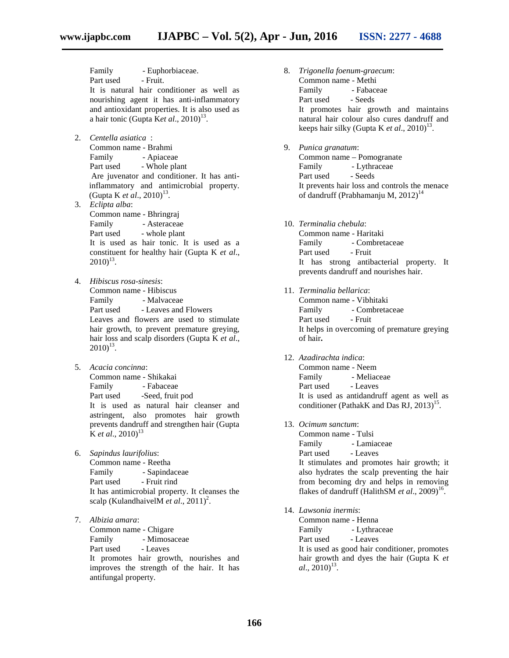Family - Euphorbiaceae. Part used - Fruit. It is natural hair conditioner as well as nourishing agent it has anti-inflammatory and antioxidant properties. It is also used as a hair tonic (Gupta Ket al., 2010)<sup>13</sup>.

- 2. *Centella asiatica* : Common name - Brahmi Family - Apiaceae Part used - Whole plant Are juvenator and conditioner. It has antiinflammatory and antimicrobial property. (Gupta K *et al.*, 2010)<sup>13</sup>.
- 3. *Eclipta alba*: Common name - Bhringraj Family - Asteraceae Part used - whole plant It is used as hair tonic. It is used as a constituent for healthy hair (Gupta K *et al*.,  $2010)^{13}$ .
- 4. *Hibiscus rosa-sinesis*: Common name - Hibiscus Family - Malvaceae Part used - Leaves and Flowers Leaves and flowers are used to stimulate hair growth, to prevent premature greying, hair loss and scalp disorders (Gupta K *et al*.,  $2010)^{13}$ .
- 5. *Acacia concinna*: Common name - Shikakai Family - Fabaceae Part used -Seed, fruit pod It is used as natural hair cleanser and astringent, also promotes hair growth prevents dandruff and strengthen hair (Gupta  $K$  *et al.*, 2010)<sup>13</sup>
- 6. *Sapindus laurifolius*: Common name - Reetha Family - Sapindaceae Part used - Fruit rind It has antimicrobial property. It cleanses the scalp (KulandhaivelM *et al.*, 2011)<sup>2</sup>.
- 7. *Albizia amara*: Common name - Chigare Family - Mimosaceae Part used - Leaves It promotes hair growth, nourishes and improves the strength of the hair. It has antifungal property.
- 8. *Trigonella foenum-graecum*: Common name - Methi Family - Fabaceae Part used - Seeds It promotes hair growth and maintains natural hair colour also cures dandruff and keeps hair silky (Gupta K *et al.*, 2010)<sup>13</sup>.
- 9. *Punica granatum*: Common name – Pomogranate Family - Lythraceae Part used - Seeds It prevents hair loss and controls the menace of dandruff (Prabhamanju M,  $2012$ )<sup>14</sup>
- 10. *Terminalia chebula*: Common name - Haritaki Family - Combretaceae Part used - Fruit It has strong antibacterial property. It prevents dandruff and nourishes hair.
- 11. *Terminalia bellarica*: Common name - Vibhitaki Family - Combretaceae<br>Part used - Fruit Part used It helps in overcoming of premature greying of hair**.**
- 12. *Azadirachta indica*: Common name - Neem Family - Meliaceae Part used - Leaves It is used as antidandruff agent as well as conditioner (PathakK and Das RJ,  $2013$ )<sup>15</sup>.
- 13. *Ocimum sanctum*:

Common name - Tulsi Family - Lamiaceae Part used - Leaves It stimulates and promotes hair growth; it also hydrates the scalp preventing the hair from becoming dry and helps in removing flakes of dandruff (HalithSM *et al*., 2009) 16 .

14. *Lawsonia inermis*:

Common name - Henna Family - Lythraceae Part used - Leaves It is used as good hair conditioner, promotes hair growth and dyes the hair (Gupta K *et*  $al., 2010$ <sup>13</sup>.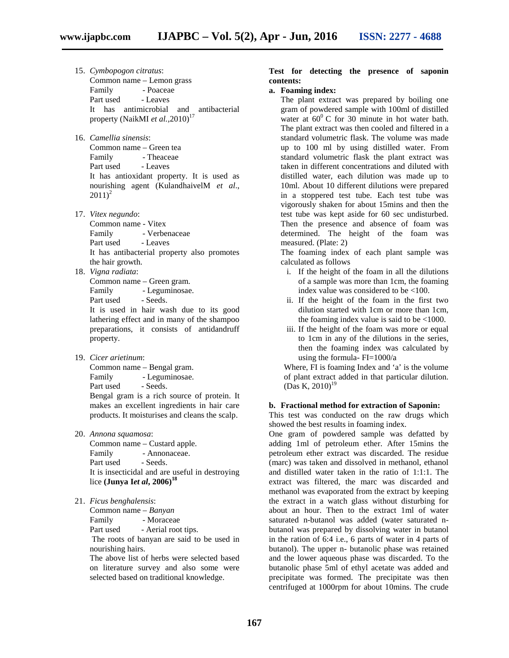- 
- 15. *Cymbopogon citratus*: Common name – Lemon grass Family - Poaceae Part used - Leaves It has antimicrobial and antibacterial property (NaikMI et al., 2010)<sup>17</sup>
- 16. *Camellia sinensis*: Common name – Green tea Family - Theaceae Part used - Leaves It has antioxidant property. It is used as nourishing agent (KulandhaivelM *et al*.,  $2011)^2$
- 17. *Vitex negundo*:

Common name - Vitex Family - Verbenaceae Part used - Leaves It has antibacterial property also promotes the hair growth.

18. *Vigna radiata*:

Common name – Green gram. Family - Leguminosae.

Part used - Seeds.

It is used in hair wash due to its good lathering effect and in many of the shampoo preparations, it consists of antidandruff property.

19. *Cicer arietinum*:

Common name – Bengal gram.

Family - Leguminosae.

Part used - Seeds.

Bengal gram is a rich source of protein. It makes an excellent ingredients in hair care products. It moisturises and cleans the scalp.

20. *Annona squamosa*:

Common name – Custard apple. Family - Annonaceae. Part used - Seeds. It is insecticidal and are useful in destroying lice **(Junya I***et al***, 2006)<sup>18</sup>**

21. *Ficus benghalensis*:

Common name – *Banyan*

Family - Moraceae

Part used - Aerial root tips.

The roots of banyan are said to be used in nourishing hairs.

The above list of herbs were selected based on literature survey and also some were selected based on traditional knowledge.

# **Test for detecting the presence of saponin contents:**

# **a. Foaming index:**

The plant extract was prepared by boiling one gram of powdered sample with 100ml of distilled water at  $60^{\circ}$  C for 30 minute in hot water bath. The plant extract was then cooled and filtered in a standard volumetric flask. The volume was made up to 100 ml by using distilled water. From standard volumetric flask the plant extract was taken in different concentrations and diluted with distilled water, each dilution was made up to 10ml. About 10 different dilutions were prepared in a stoppered test tube. Each test tube was vigorously shaken for about 15mins and then the test tube was kept aside for 60 sec undisturbed. Then the presence and absence of foam was determined. The height of the foam was measured. (Plate: 2)

The foaming index of each plant sample was calculated as follows

- i. If the height of the foam in all the dilutions of a sample was more than 1cm, the foaming index value was considered to be <100.
- ii. If the height of the foam in the first two dilution started with 1cm or more than 1cm, the foaming index value is said to be <1000.
- iii. If the height of the foam was more or equal to 1cm in any of the dilutions in the series, then the foaming index was calculated by using the formula- FI=1000/a

Where, FI is foaming Index and 'a' is the volume of plant extract added in that particular dilution.  $(Das K, 2010)^{19}$ 

#### **b. Fractional method for extraction of Saponin:**

This test was conducted on the raw drugs which showed the best results in foaming index.

One gram of powdered sample was defatted by adding 1ml of petroleum ether. After 15mins the petroleum ether extract was discarded. The residue (marc) was taken and dissolved in methanol, ethanol and distilled water taken in the ratio of 1:1:1. The extract was filtered, the marc was discarded and methanol was evaporated from the extract by keeping the extract in a watch glass without disturbing for about an hour. Then to the extract 1ml of water saturated n-butanol was added (water saturated n butanol was prepared by dissolving water in butanol in the ration of 6:4 i.e., 6 parts of water in 4 parts of butanol). The upper n- butanolic phase was retained and the lower aqueous phase was discarded. To the butanolic phase 5ml of ethyl acetate was added and precipitate was formed. The precipitate was then centrifuged at 1000rpm for about 10mins. The crude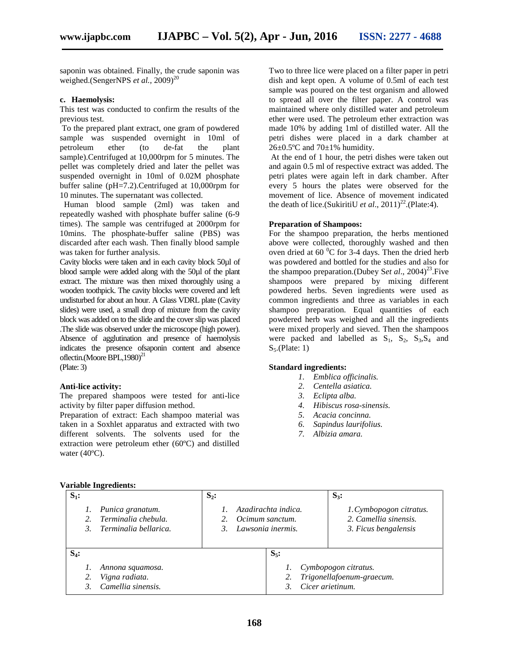saponin was obtained. Finally, the crude saponin was weighed.(SengerNPS *et al.*, 2009)<sup>20</sup>

# **c. Haemolysis:**

This test was conducted to confirm the results of the previous test.

To the prepared plant extract, one gram of powdered sample was suspended overnight in 10ml of petroleum ether (to de-fat the plant sample).Centrifuged at 10,000rpm for 5 minutes. The pellet was completely dried and later the pellet was suspended overnight in 10ml of 0.02M phosphate buffer saline (pH=7.2).Centrifuged at 10,000rpm for 10 minutes. The supernatant was collected.

Human blood sample (2ml) was taken and repeatedly washed with phosphate buffer saline (6-9 times). The sample was centrifuged at 2000rpm for 10mins. The phosphate-buffer saline (PBS) was discarded after each wash. Then finally blood sample was taken for further analysis.

Cavity blocks were taken and in each cavity block 50µl of blood sample were added along with the 50µl of the plant extract. The mixture was then mixed thoroughly using a wooden toothpick. The cavity blocks were covered and left undisturbed for about an hour. A Glass VDRL plate (Cavity slides) were used, a small drop of mixture from the cavity block was added on to the slide and the cover slip was placed .The slide was observed under the microscope (high power). Absence of agglutination and presence of haemolysis indicates the presence ofsaponin content and absence oflectin.(Moore BPL,1980)<sup>21</sup>

(Plate: 3)

# **Anti-lice activity:**

The prepared shampoos were tested for anti-lice activity by filter paper diffusion method.

Preparation of extract: Each shampoo material was taken in a Soxhlet apparatus and extracted with two different solvents. The solvents used for the extraction were petroleum ether (60ºC) and distilled water (40ºC).

Two to three lice were placed on a filter paper in petri dish and kept open. A volume of 0.5ml of each test sample was poured on the test organism and allowed to spread all over the filter paper. A control was maintained where only distilled water and petroleum ether were used. The petroleum ether extraction was made 10% by adding 1ml of distilled water. All the petri dishes were placed in a dark chamber at  $26\pm0.5$ °C and  $70\pm1$ % humidity.

At the end of 1 hour, the petri dishes were taken out and again 0.5 ml of respective extract was added. The petri plates were again left in dark chamber. After every 5 hours the plates were observed for the movement of lice. Absence of movement indicated the death of lice.(SukiritiU *et al.*,  $2011)^{22}$ .(Plate:4).

# **Preparation of Shampoos:**

For the shampoo preparation, the herbs mentioned above were collected, thoroughly washed and then oven dried at  $60<sup>0</sup>C$  for 3-4 days. Then the dried herb was powdered and bottled for the studies and also for the shampoo preparation.(Dubey Set al., 2004)<sup>23</sup>. Five shampoos were prepared by mixing different powdered herbs. Seven ingredients were used as common ingredients and three as variables in each shampoo preparation. Equal quantities of each powdered herb was weighed and all the ingredients were mixed properly and sieved. Then the shampoos were packed and labelled as  $S_1$ ,  $S_2$ ,  $S_3$ ,  $S_4$  and  $S_5$ .(Plate: 1)

#### **Standard ingredients:**

- *1. Emblica officinalis.*
- *2. Centella asiatica.*
- *3. Eclipta alba.*
- *4. Hibiscus rosa-sinensis.*
- *5. Acacia concinna.*
- *6. Sapindus laurifolius.*
- *7. Albizia amara.*

#### **Variable Ingredients:**

| $S_1$ : | -                                                                | $S_2$ :                              |                     | $S_3$ :                                                                  |
|---------|------------------------------------------------------------------|--------------------------------------|---------------------|--------------------------------------------------------------------------|
|         | Punica granatum.<br>Terminalia chebula.<br>Terminalia bellarica. | Ocimum sanctum.<br>Lawsonia inermis. | Azadirachta indica. | 1. Cymbopogon citratus.<br>2. Camellia sinensis.<br>3. Ficus bengalensis |
| $S_4$ : |                                                                  |                                      | $S_5$ :             |                                                                          |
|         | Annona squamosa.                                                 |                                      |                     | Cymbopogon citratus.                                                     |
|         | Vigna radiata.                                                   |                                      | 2.                  | Trigonellafoenum-graecum.                                                |
|         | Camellia sinensis.                                               |                                      | Cicer arietinum.    |                                                                          |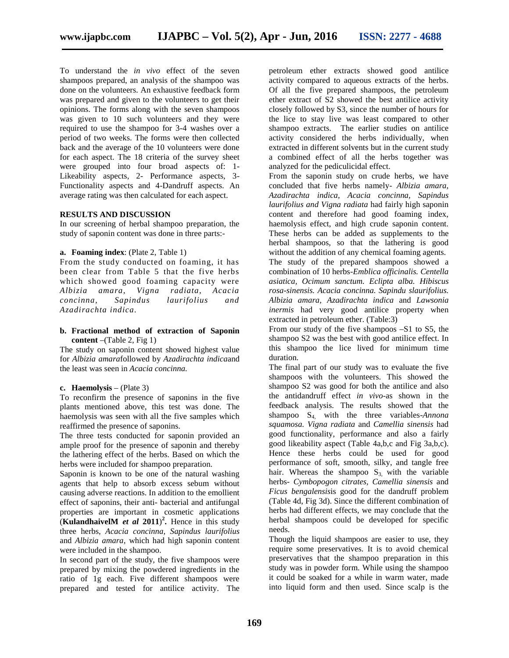To understand the *in vivo* effect of the seven shampoos prepared, an analysis of the shampoo was done on the volunteers. An exhaustive feedback form was prepared and given to the volunteers to get their opinions. The forms along with the seven shampoos was given to 10 such volunteers and they were required to use the shampoo for 3-4 washes over a period of two weeks. The forms were then collected back and the average of the 10 volunteers were done for each aspect. The 18 criteria of the survey sheet were grouped into four broad aspects of: 1- Likeability aspects, 2- Performance aspects, 3- Functionality aspects and 4-Dandruff aspects. An average rating was then calculated for each aspect.

#### **RESULTS AND DISCUSSION**

In our screening of herbal shampoo preparation, the study of saponin content was done in three parts:-

#### **a. Foaming index**: (Plate 2, Table 1)

From the study conducted on foaming, it has been clear from Table 5 that the five herbs which showed good foaming capacity were *Albizia amara, Vigna radiata, Acacia concinna, Sapindus laurifolius and Azadirachta indica.*

### **b. Fractional method of extraction of Saponin content** –(Table 2, Fig 1)

The study on saponin content showed highest value for *Albizia amara*followed by *Azadirachta indica*and the least was seen in *Acacia concinna.*

#### **c. Haemolysis** – (Plate 3)

To reconfirm the presence of saponins in the five plants mentioned above, this test was done. The haemolysis was seen with all the five samples which reaffirmed the presence of saponins.

The three tests conducted for saponin provided an ample proof for the presence of saponin and thereby the lathering effect of the herbs. Based on which the herbs were included for shampoo preparation.

Saponin is known to be one of the natural washing agents that help to absorb excess sebum without causing adverse reactions. In addition to the emollient effect of saponins, their anti- bacterial and antifungal properties are important in cosmetic applications **(KulandhaivelM** *et al*  $2011$ <sup>2</sup>. Hence in this study three herbs, *Acacia concinna, Sapindus laurifolius* and *Albizia amara*, which had high saponin content were included in the shampoo.

In second part of the study, the five shampoos were prepared by mixing the powdered ingredients in the ratio of 1g each. Five different shampoos were prepared and tested for antilice activity. The

petroleum ether extracts showed good antilice activity compared to aqueous extracts of the herbs. Of all the five prepared shampoos, the petroleum ether extract of S2 showed the best antilice activity closely followed by S3, since the number of hours for the lice to stay live was least compared to other shampoo extracts. The earlier studies on antilice activity considered the herbs individually, when extracted in different solvents but in the current study a combined effect of all the herbs together was analyzed for the pediculicidal effect.

From the saponin study on crude herbs, we have concluded that five herbs namely- *Albizia amara, Azadirachta indica, Acacia concinna, Sapindus laurifolius and Vigna radiata* had fairly high saponin content and therefore had good foaming index, haemolysis effect, and high crude saponin content. These herbs can be added as supplements to the herbal shampoos, so that the lathering is good without the addition of any chemical foaming agents.

The study of the prepared shampoos showed a combination of 10 herbs-*Emblica officinalis. Centella asiatica, Ocimum sanctum. Eclipta alba. Hibiscus rosa-sinensis. Acacia concinna. Sapindu slaurifolius. Albizia amara, Azadirachta indica* and *Lawsonia inermis* had very good antilice property when extracted in petroleum ether. (Table:3)

From our study of the five shampoos –S1 to S5, the shampoo S2 was the best with good antilice effect. In this shampoo the lice lived for minimum time duration.

The final part of our study was to evaluate the five shampoos with the volunteers. This showed the shampoo S2 was good for both the antilice and also the antidandruff effect *in vivo*-as shown in the feedback analysis. The results showed that the shampoo S<sub>4</sub> with the three variables-*Annona squamosa. Vigna radiata* and *Camellia sinensis* had good functionality, performance and also a fairly good likeability aspect (Table 4a,b,c and Fig 3a,b,c). Hence these herbs could be used for good performance of soft, smooth, silky, and tangle free hair. Whereas the shampoo  $S_3$  with the variable herbs- *Cymbopogon citrates, Camellia sinensis* and *Ficus bengalensis*is good for the dandruff problem (Table 4d, Fig 3d). Since the different combination of herbs had different effects, we may conclude that the herbal shampoos could be developed for specific needs.

Though the liquid shampoos are easier to use, they require some preservatives. It is to avoid chemical preservatives that the shampoo preparation in this study was in powder form. While using the shampoo it could be soaked for a while in warm water, made into liquid form and then used. Since scalp is the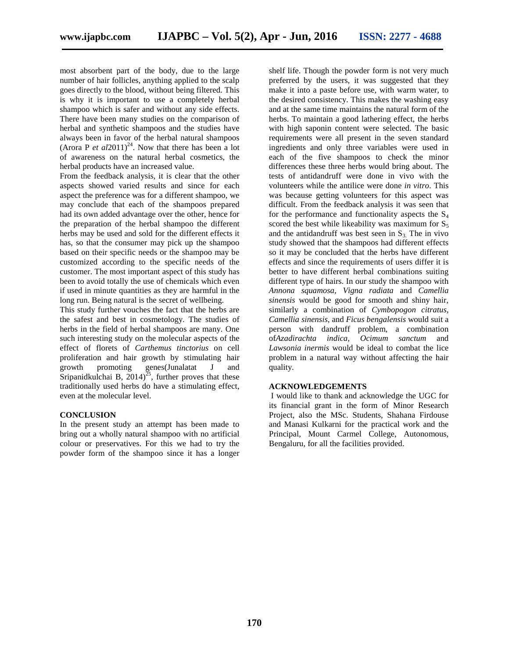most absorbent part of the body, due to the large number of hair follicles, anything applied to the scalp goes directly to the blood, without being filtered. This is why it is important to use a completely herbal shampoo which is safer and without any side effects. There have been many studies on the comparison of herbal and synthetic shampoos and the studies have always been in favor of the herbal natural shampoos (Arora P *et al*2011)<sup>24</sup>. Now that there has been a lot of awareness on the natural herbal cosmetics, the herbal products have an increased value.

From the feedback analysis, it is clear that the other aspects showed varied results and since for each aspect the preference was for a different shampoo, we may conclude that each of the shampoos prepared had its own added advantage over the other, hence for the preparation of the herbal shampoo the different herbs may be used and sold for the different effects it has, so that the consumer may pick up the shampoo based on their specific needs or the shampoo may be customized according to the specific needs of the customer. The most important aspect of this study has been to avoid totally the use of chemicals which even if used in minute quantities as they are harmful in the long run. Being natural is the secret of wellbeing.

This study further vouches the fact that the herbs are the safest and best in cosmetology. The studies of herbs in the field of herbal shampoos are many. One such interesting study on the molecular aspects of the effect of florets of *Carthemus tinctorius* on cell proliferation and hair growth by stimulating hair growth promoting genes(Junalatat J and Sripanidkulchai B,  $2014$ <sup>25</sup>, further proves that these traditionally used herbs do have a stimulating effect, even at the molecular level.

# **CONCLUSION**

In the present study an attempt has been made to bring out a wholly natural shampoo with no artificial colour or preservatives. For this we had to try the powder form of the shampoo since it has a longer

shelf life. Though the powder form is not very much preferred by the users, it was suggested that they make it into a paste before use, with warm water, to the desired consistency. This makes the washing easy and at the same time maintains the natural form of the herbs. To maintain a good lathering effect, the herbs with high saponin content were selected. The basic requirements were all present in the seven standard ingredients and only three variables were used in each of the five shampoos to check the minor differences these three herbs would bring about. The tests of antidandruff were done in vivo with the volunteers while the antilice were done *in vitro*. This was because getting volunteers for this aspect was difficult. From the feedback analysis it was seen that for the performance and functionality aspects the  $S_4$ scored the best while likeability was maximum for  $S_5$ and the antidandruff was best seen in  $S_3$ . The in vivo study showed that the shampoos had different effects so it may be concluded that the herbs have different effects and since the requirements of users differ it is better to have different herbal combinations suiting different type of hairs. In our study the shampoo with *Annona squamosa, Vigna radiata* and *Camellia sinensis* would be good for smooth and shiny hair, similarly a combination of *Cymbopogon citratus, Camellia sinensis,* and *Ficus bengalensis* would suit a person with dandruff problem, a combination of*Azadirachta indica, Ocimum sanctum* and *Lawsonia inermis* would be ideal to combat the lice problem in a natural way without affecting the hair quality.

# **ACKNOWLEDGEMENTS**

I would like to thank and acknowledge the UGC for its financial grant in the form of Minor Research Project, also the MSc. Students, Shahana Firdouse and Manasi Kulkarni for the practical work and the Principal, Mount Carmel College, Autonomous, Bengaluru, for all the facilities provided.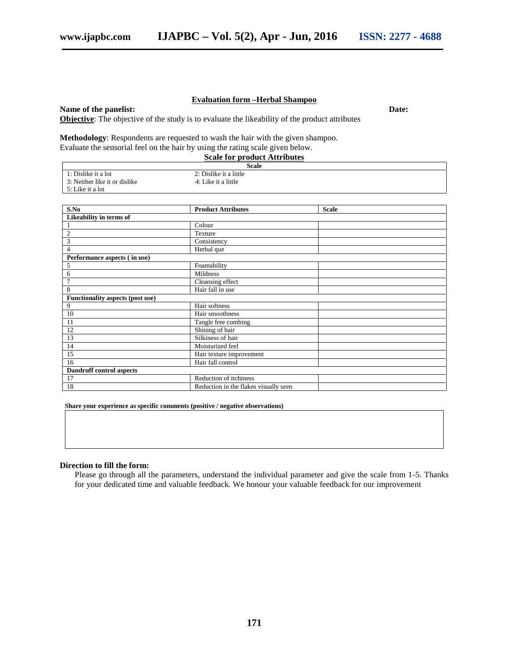#### **Evaluation form –Herbal Shampoo**

# **Name of the panelist: Date:**

**Objective**: The objective of the study is to evaluate the likeability of the product attributes

**Methodology**: Respondents are requested to wash the hair with the given shampoo. Evaluate the sensorial feel on the hair by using the rating scale given below.

|                               | <b>Scale for product Attributes</b> |  |
|-------------------------------|-------------------------------------|--|
|                               | Scale                               |  |
| 1: Dislike it a lot           | 2: Dislike it a little              |  |
| 3: Neither like it or dislike | 4: Like it a little                 |  |
| 5: Like it a lot              |                                     |  |

| S.No                             | <b>Product Attributes</b>             | <b>Scale</b> |
|----------------------------------|---------------------------------------|--------------|
| Likeability in terms of          |                                       |              |
|                                  | Colour                                |              |
| $\overline{2}$                   | Texture                               |              |
| 3                                | Consistency                           |              |
| 4                                | Herbal que                            |              |
| Performance aspects (in use)     |                                       |              |
| 5                                | Foamability                           |              |
| 6                                | Mildness                              |              |
| $\overline{7}$                   | Cleansing effect                      |              |
| 8                                | Hair fall in use                      |              |
| Functionality aspects (post use) |                                       |              |
| 9                                | Hair softness                         |              |
| 10                               | Hair smoothness                       |              |
| 11                               | Tangle free combing                   |              |
| 12                               | Shining of hair                       |              |
| 13                               | Silkiness of hair                     |              |
| 14                               | Moisturized feel                      |              |
| 15                               | Hair texture improvement              |              |
| 16                               | Hair fall control                     |              |
| Dandruff control aspects         |                                       |              |
| 17                               | Reduction of itchiness                |              |
| 18                               | Reduction in the flakes visually seen |              |

**Share your experience as specific comments (positive / negative observations)**

#### **Direction to fill the form:**

Please go through all the parameters, understand the individual parameter and give the scale from 1-5. Thanks for your dedicated time and valuable feedback. We honour your valuable feedback for our improvement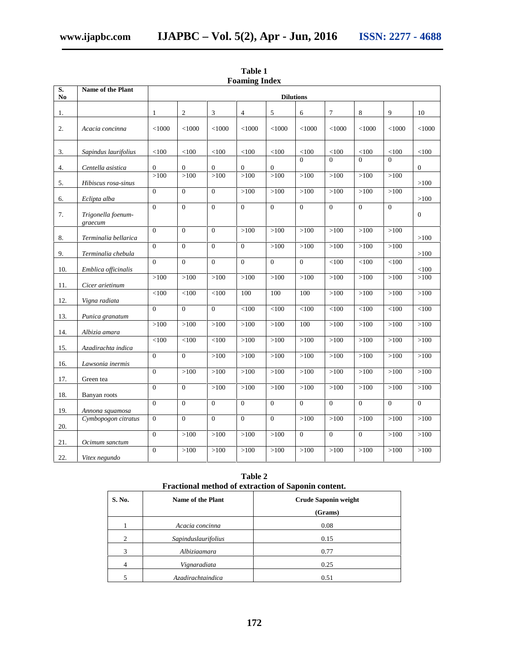| S.  | Name of the Plant             |                | <b>Dilutions</b> |                  |                |                |                |                |                |          |                  |
|-----|-------------------------------|----------------|------------------|------------------|----------------|----------------|----------------|----------------|----------------|----------|------------------|
| No  |                               |                |                  |                  |                |                |                |                |                |          |                  |
| 1.  |                               | $\mathbf{1}$   | $\mathfrak{2}$   | 3                | $\overline{4}$ | 5              | 6              | 7              | 8              | 9        | 10               |
| 2.  | Acacia concinna               | $<$ 1000       | $<$ 1000         | $<$ 1000         | < 1000         | $<$ 1000       | $<$ 1000       | $<$ 1000       | $<$ 1000       | $<$ 1000 | $<$ 1000         |
| 3.  | Sapindus laurifolius          | < 100          | < 100            | < 100            | < 100          | < 100          | < 100          | < 100          | <100           | < 100    | $<100$           |
| 4.  | Centella asistica             | $\mathbf{0}$   | $\boldsymbol{0}$ | $\boldsymbol{0}$ | $\overline{0}$ | $\overline{0}$ | $\Omega$       | $\Omega$       | $\Omega$       | $\Omega$ | $\boldsymbol{0}$ |
| 5.  | Hibiscus rosa-sinus           | >100           | >100             | >100             | >100           | >100           | >100           | >100           | >100           | >100     | >100             |
| 6.  | Eclipta alba                  | $\theta$       | $\Omega$         | $\Omega$         | >100           | >100           | >100           | >100           | >100           | >100     | >100             |
| 7.  | Trigonella foenum-<br>graecum | $\theta$       | $\Omega$         | $\Omega$         | $\Omega$       | $\theta$       | $\Omega$       | $\Omega$       | $\Omega$       | $\theta$ | $\mathbf{0}$     |
| 8.  | Terminalia bellarica          | $\theta$       | $\Omega$         | $\Omega$         | >100           | >100           | >100           | >100           | >100           | >100     | >100             |
| 9.  | Terminalia chebula            | $\Omega$       | $\Omega$         | $\Omega$         | $\Omega$       | >100           | >100           | >100           | >100           | >100     | >100             |
| 10. | Emblica officinalis           | $\mathbf{0}$   | $\overline{0}$   | $\overline{0}$   | $\Omega$       | $\theta$       | $\overline{0}$ | < 100          | < 100          | < 100    | <100             |
| 11. | Cicer arietinum               | >100           | >100             | >100             | >100           | >100           | >100           | >100           | >100           | >100     | >100             |
| 12. | Vigna radiata                 | <100           | < 100            | <100             | 100            | 100            | 100            | >100           | >100           | >100     | >100             |
| 13. | Punica granatum               | $\mathbf{0}$   | $\Omega$         | $\overline{0}$   | < 100          | < 100          | < 100          | < 100          | $<\!\!100$     | < 100    | $<100$           |
| 14. | Albizia amara                 | >100           | >100             | >100             | >100           | >100           | 100            | >100           | >100           | >100     | >100             |
| 15. | Azadirachta indica            | < 100          | < 100            | < 100            | >100           | >100           | >100           | >100           | >100           | >100     | >100             |
| 16. | Lawsonia inermis              | $\theta$       | $\overline{0}$   | >100             | >100           | >100           | >100           | >100           | >100           | >100     | >100             |
| 17. | Green tea                     | $\Omega$       | >100             | >100             | >100           | >100           | >100           | >100           | >100           | >100     | >100             |
| 18. | Banyan roots                  | $\mathbf{0}$   | $\overline{0}$   | >100             | >100           | >100           | >100           | >100           | >100           | >100     | >100             |
| 19. | Annona squamosa               | $\Omega$       | $\Omega$         | $\Omega$         | $\Omega$       | $\theta$       | $\Omega$       | $\Omega$       | $\theta$       | $\Omega$ | $\Omega$         |
| 20. | Cymbopogon citratus           | $\mathbf{0}$   | $\overline{0}$   | $\mathbf{0}$     | $\mathbf{0}$   | $\mathbf{0}$   | >100           | >100           | >100           | >100     | >100             |
| 21. | Ocimum sanctum                | $\theta$       | >100             | >100             | >100           | >100           | $\overline{0}$ | $\overline{0}$ | $\overline{0}$ | >100     | >100             |
| 22. | Vitex negundo                 | $\overline{0}$ | >100             | >100             | >100           | >100           | >100           | >100           | >100           | >100     | >100             |

**Table 1 Foaming Index**

|                               | Fractional method of extraction of Saponin content. |                             |  |  |  |  |  |
|-------------------------------|-----------------------------------------------------|-----------------------------|--|--|--|--|--|
| S. No.                        | Name of the Plant                                   | <b>Crude Saponin weight</b> |  |  |  |  |  |
|                               |                                                     | (Grams)                     |  |  |  |  |  |
|                               | Acacia concinna                                     | 0.08                        |  |  |  |  |  |
| $\mathfrak{D}_{\mathfrak{p}}$ | Sapinduslaurifolius                                 | 0.15                        |  |  |  |  |  |
| 3                             | Albiziaamara                                        | 0.77                        |  |  |  |  |  |
|                               | Vignaradiata                                        | 0.25                        |  |  |  |  |  |
|                               | Azadirachtaindica                                   | 0.51                        |  |  |  |  |  |

**Table 2**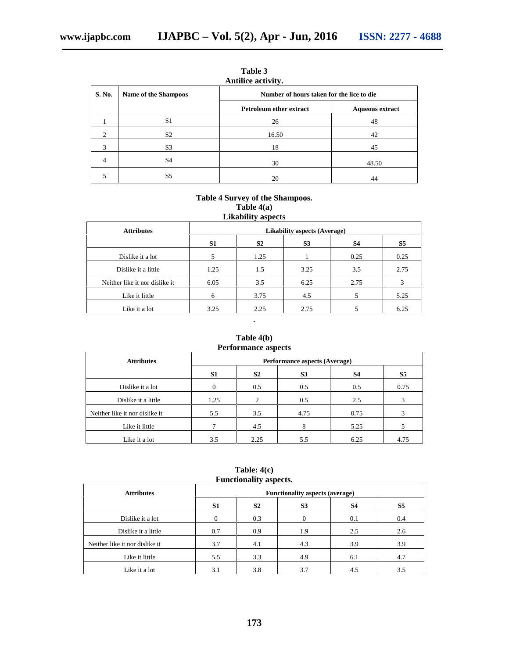| S. No.                      | <b>Name of the Shampoos</b> | Number of hours taken for the lice to die |                        |
|-----------------------------|-----------------------------|-------------------------------------------|------------------------|
|                             |                             | <b>Petroleum ether extract</b>            | <b>Aqueous extract</b> |
|                             | S <sub>1</sub>              | 26                                        | 48                     |
| $\mathcal{D}_{\mathcal{L}}$ | S <sub>2</sub>              | 16.50                                     | 42                     |
| 3                           | S <sub>3</sub>              | 18                                        | 45                     |
| 4                           | S <sub>4</sub>              | 30                                        | 48.50                  |
|                             | S5                          | 20                                        | 44                     |

**Table 3**

# **Table 4 Survey of the Shampoos. Table 4(a) Likability aspects**

| <b>Attributes</b>              | <b>Likability aspects (Average)</b> |                |                |      |      |  |  |
|--------------------------------|-------------------------------------|----------------|----------------|------|------|--|--|
|                                | S1                                  | S <sub>2</sub> | S <sub>3</sub> | S4   | S5   |  |  |
| Dislike it a lot               |                                     | 1.25           |                | 0.25 | 0.25 |  |  |
| Dislike it a little            | 1.25                                | 1.5            | 3.25           | 3.5  | 2.75 |  |  |
| Neither like it nor dislike it | 6.05                                | 3.5            | 6.25           | 2.75 | 3    |  |  |
| Like it little                 | 6                                   | 3.75           | 4.5            |      | 5.25 |  |  |
| Like it a lot                  | 3.25                                | 2.25           | 2.75           |      | 6.25 |  |  |

# **Table 4(b) Performance aspects**

.

| <b>Attributes</b>              |                | Performance aspects (Average) |                |      |      |  |  |  |
|--------------------------------|----------------|-------------------------------|----------------|------|------|--|--|--|
|                                | S <sub>1</sub> | S <sub>2</sub>                | S <sub>3</sub> | S4   | S5   |  |  |  |
| Dislike it a lot               |                | 0.5                           | 0.5            | 0.5  | 0.75 |  |  |  |
| Dislike it a little            | 1.25           | $\overline{c}$                | 0.5            | 2.5  | 3    |  |  |  |
| Neither like it nor dislike it | 5.5            | 3.5                           | 4.75           | 0.75 | 3    |  |  |  |
| Like it little                 |                | 4.5                           | 8              | 5.25 |      |  |  |  |
| Like it a lot                  | 3.5            | 2.25                          | 5.5            | 6.25 | 4.75 |  |  |  |

**Table: 4(c) Functionality aspects.**

| --------------                 |                                        |                |                |     |                |  |  |
|--------------------------------|----------------------------------------|----------------|----------------|-----|----------------|--|--|
| <b>Attributes</b>              | <b>Functionality aspects (average)</b> |                |                |     |                |  |  |
|                                | S <sub>1</sub>                         | S <sub>2</sub> | S <sub>3</sub> | S4  | S <sub>5</sub> |  |  |
| Dislike it a lot               | $\Omega$                               | 0.3            | 0              | 0.1 | 0.4            |  |  |
| Dislike it a little            | 0.7                                    | 0.9            | 1.9            | 2.5 | 2.6            |  |  |
| Neither like it nor dislike it | 3.7                                    | 4.1            | 4.3            | 3.9 | 3.9            |  |  |
| Like it little                 | 5.5                                    | 3.3            | 4.9            | 6.1 | 4.7            |  |  |
| Like it a lot                  | 3.1                                    | 3.8            | 3.7            | 4.5 | 3.5            |  |  |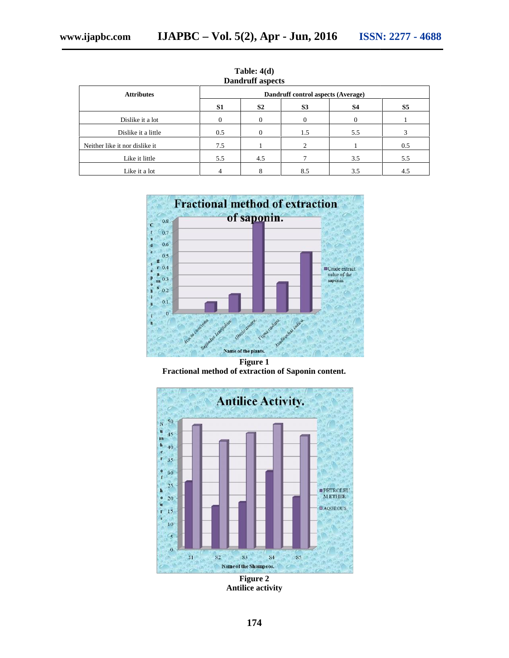| <b>Dandruff aspects</b>        |                                    |                |     |              |                |  |  |
|--------------------------------|------------------------------------|----------------|-----|--------------|----------------|--|--|
| <b>Attributes</b>              | Dandruff control aspects (Average) |                |     |              |                |  |  |
|                                | S1                                 | S <sub>2</sub> | S3  | S4           | S <sub>5</sub> |  |  |
| Dislike it a lot               | $\Omega$                           | 0              | 0   | $\mathbf{0}$ |                |  |  |
| Dislike it a little            | 0.5                                | 0              | 1.5 | 5.5          |                |  |  |
| Neither like it nor dislike it | 7.5                                |                |     |              | 0.5            |  |  |
| Like it little                 | 5.5                                | 4.5            |     | 3.5          | 5.5            |  |  |
| Like it a lot                  |                                    | 8              | 8.5 | 3.5          | 4.5            |  |  |

Table: 4(d)<br>Dandruff aspects



**Figure 1 Fractional method of extraction of Saponin content. Fractional Fractional** 



**Figure 2 Antilice activity**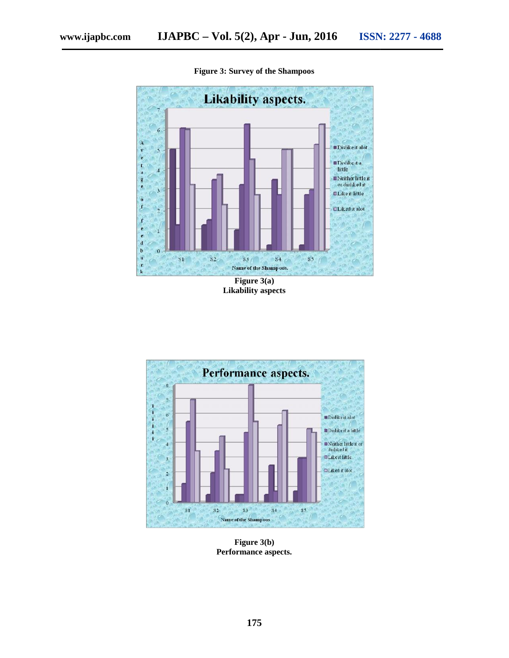



**Figure 3: Survey of the Shampoos**

**Figure 3(a) Likability aspects**



**Figure 3(b) Performance aspects. Performance**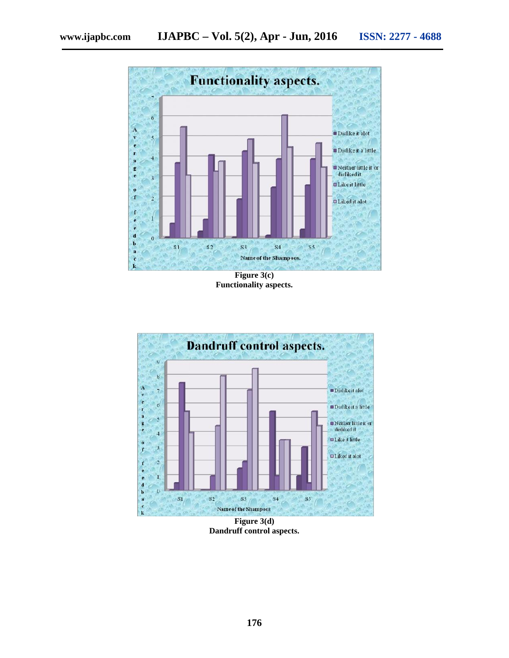

**Figure 3(c) Figure 3(c)Functionality aspects.**



**Figure 3(d) Dandruff control aspects.**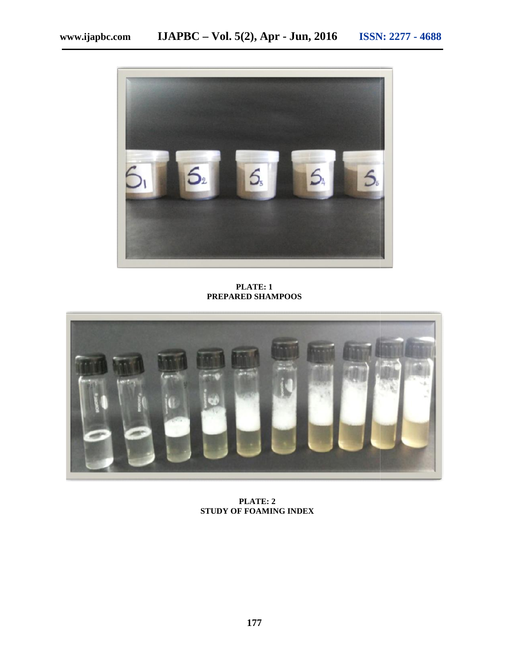

**PLATE: 1 PREPARED SHAMPOOS**



**PLATE: 2 PLATE: 22STUDY OF FOAMING INDEX**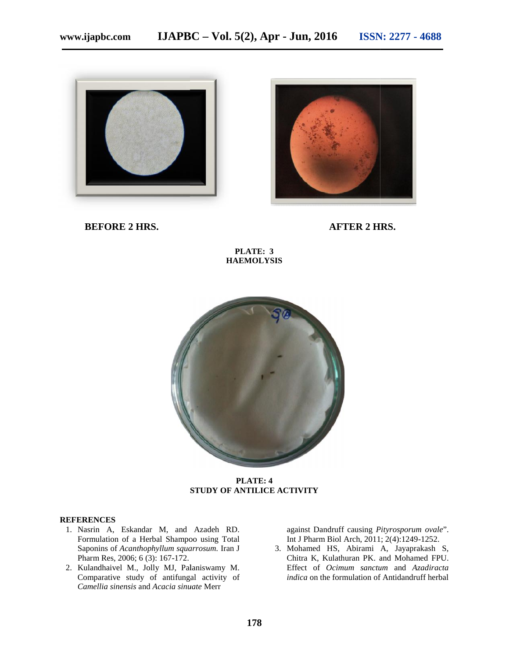



**BEFORE 2 HRS. AFTER 2 HRS.**

**PLATE: 3 HAEMOLYSIS**



**PLATE: 4 STUDY OF ANTILICE ACTIVITY**

#### **REFERENCES**

- 1. Nasrin A, Eskandar M, and Azadeh RD. Formulation of a Herbal Shampoo using Total Saponins of *Acanthophyllum squarrosum*. Iran J Pharm Res, 2006; 6 (3): 167-172.
- 2. Kulandhaivel M., Jolly MJ, Palaniswamy M. Comparative study of antifungal activity of *Camellia sinensis* and *Acacia sinuate* Merr

against Dandruff causing *Pityrosporum ovale*". Int J Pharm Biol Arch, 2011; 2(4):1249-1252.

3. Mohamed HS, Abirami A, Jayaprakash S, Chitra K, Kulathuran PK. and Mohamed FPU. Effect of *Ocimum sanctum* and *Azadiracta indica* on the formulation of Antidandruff herbal **Example 18 Accept Merrific School of a Herbal Shampoo using Total** Int J Pharm Biol Arch, 2011; 2(4):1249-1252.<br> **Camellia sinensis** of *Acanthophyllum squarrosum*. Iran J<br> **Camellia sinensis** and *Acacia sinuate* Merr<br>